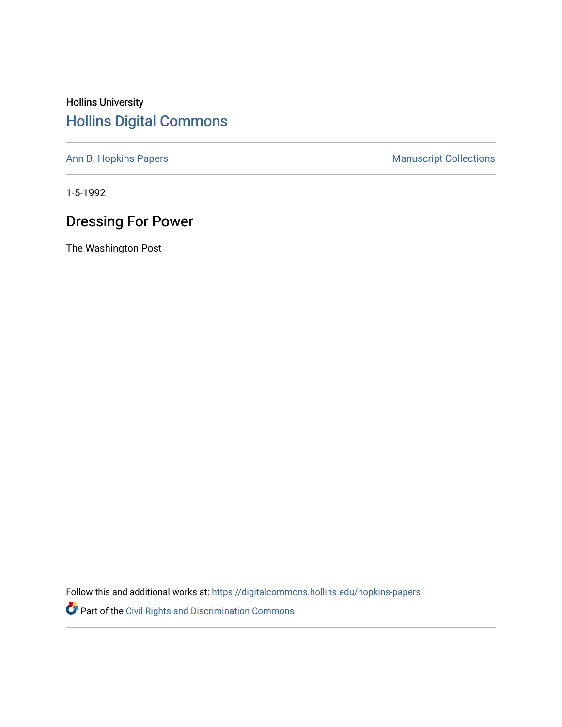## Hollins University [Hollins Digital Commons](https://digitalcommons.hollins.edu/)

[Ann B. Hopkins Papers](https://digitalcommons.hollins.edu/hopkins-papers) **Manuscript Collections** Manuscript Collections

1-5-1992

## Dressing For Power

The Washington Post

Follow this and additional works at: [https://digitalcommons.hollins.edu/hopkins-papers](https://digitalcommons.hollins.edu/hopkins-papers?utm_source=digitalcommons.hollins.edu%2Fhopkins-papers%2F185&utm_medium=PDF&utm_campaign=PDFCoverPages) 

Part of the [Civil Rights and Discrimination Commons](http://network.bepress.com/hgg/discipline/585?utm_source=digitalcommons.hollins.edu%2Fhopkins-papers%2F185&utm_medium=PDF&utm_campaign=PDFCoverPages)